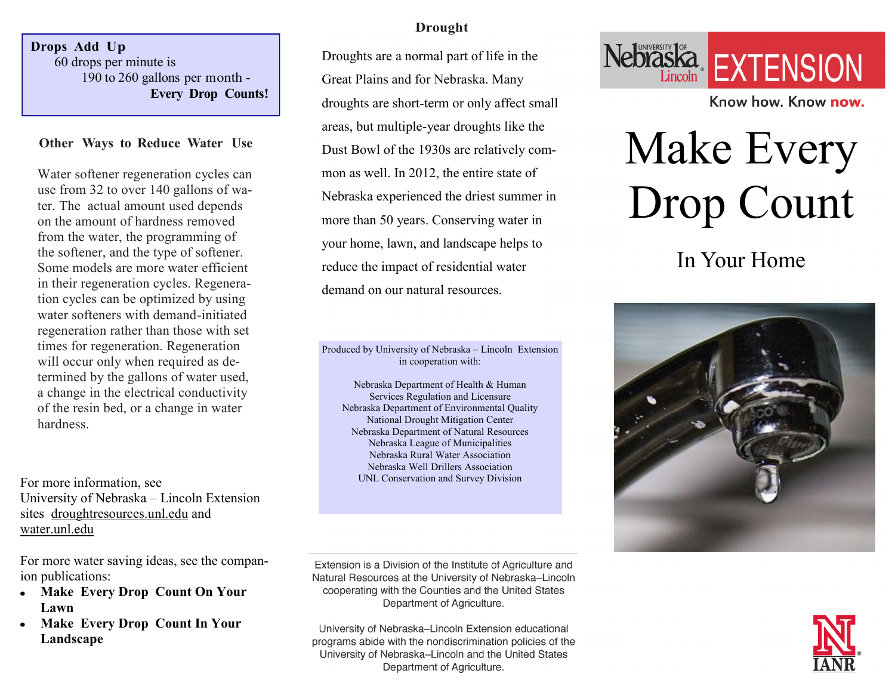**Drops Add Up** 60 drops per minute is 190 to 260 gallons per month - **Every Drop Counts!**

#### **Other Ways to Reduce Water Use**

Water softener regeneration cycles can use from 32 to over 140 gallons of water. The actual amount used depends on the amount of hardness removed from the water, the programming of the softener, and the type of softener. Some models are more water efficient in their regeneration cycles. Regeneration cycles can be optimized by using water softeners with demand-initiated regeneration rather than those with set times for regeneration. Regeneration will occur only when required as determined by the gallons of water used, a change in the electrical conductivity of the resin bed, or a change in water hardness.

For more information, see University of Nebraska – Lincoln Extension sites droughtresources.unl.edu and water.unl.edu

For more water saving ideas, see the companion publications:

- **Make Every Drop Count On Your**   $\bullet$ **Lawn**
- **Make Every Drop Count In Your Landscape**

#### **Drought**

Droughts are a normal part of life in the Great Plains and for Nebraska. Many droughts are short-term or only affect small areas, but multiple-year droughts like the Dust Bowl of the 1930s are relatively common as well. In 2012, the entire state of Nebraska experienced the driest summer in more than 50 years. Conserving water in your home, lawn, and landscape helps to reduce the impact of residential water demand on our natural resources.

Produced by University of Nebraska – Lincoln Extension in cooperation with:

Nebraska Department of Health & Human Services Regulation and Licensure Nebraska Department of Environmental Quality National Drought Mitigation Center Nebraska Department of Natural Resources Nebraska League of Municipalities Nebraska Rural Water Association Nebraska Well Drillers Association UNL Conservation and Survey Division

Extension is a Division of the Institute of Agriculture and Natural Resources at the University of Nebraska-Lincoln cooperating with the Counties and the United States Department of Agriculture.

University of Nebraska-Lincoln Extension educational programs abide with the nondiscrimination policies of the University of Nebraska-Lincoln and the United States Department of Agriculture.



Know how, Know now.

# Make Every Drop Count

In Your Home